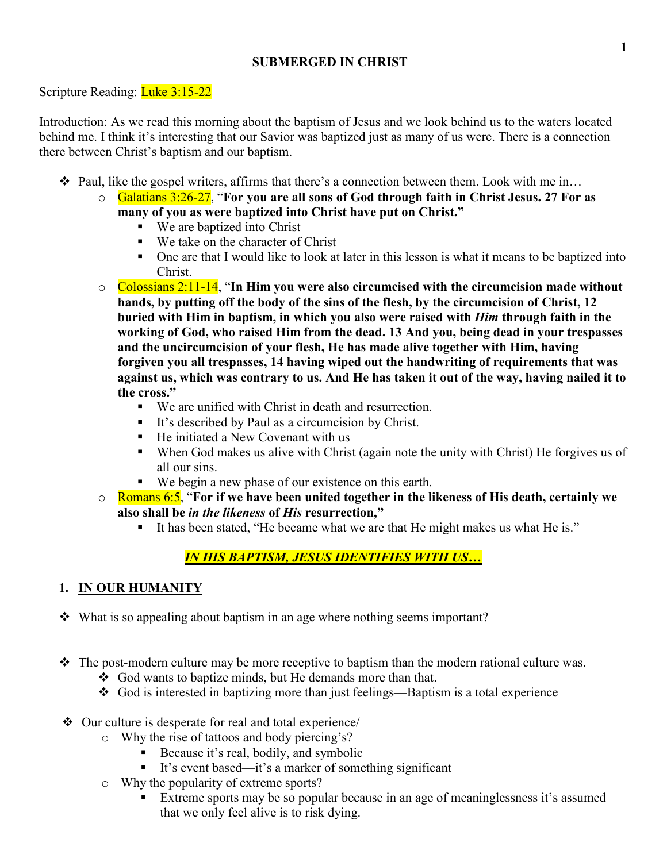# **SUBMERGED IN CHRIST**

# Scripture Reading: Luke 3:15-22

Introduction: As we read this morning about the baptism of Jesus and we look behind us to the waters located behind me. I think it's interesting that our Savior was baptized just as many of us were. There is a connection there between Christ's baptism and our baptism.

- Paul, like the gospel writers, affirms that there's a connection between them. Look with me in…
	- o Galatians 3:26-27, "**For you are all sons of God through faith in Christ Jesus. 27 For as many of you as were baptized into Christ have put on Christ."**
		- We are baptized into Christ
		- We take on the character of Christ
		- One are that I would like to look at later in this lesson is what it means to be baptized into Christ.
	- o Colossians 2:11-14, "**In Him you were also circumcised with the circumcision made without hands, by putting off the body of the sins of the flesh, by the circumcision of Christ, 12 buried with Him in baptism, in which you also were raised with** *Him* **through faith in the working of God, who raised Him from the dead. 13 And you, being dead in your trespasses and the uncircumcision of your flesh, He has made alive together with Him, having forgiven you all trespasses, 14 having wiped out the handwriting of requirements that was against us, which was contrary to us. And He has taken it out of the way, having nailed it to the cross."**
		- We are unified with Christ in death and resurrection.
		- It's described by Paul as a circumcision by Christ.
		- He initiated a New Covenant with us
		- When God makes us alive with Christ (again note the unity with Christ) He forgives us of all our sins.
		- We begin a new phase of our existence on this earth.
	- o Romans 6:5, "**For if we have been united together in the likeness of His death, certainly we also shall be** *in the likeness* **of** *His* **resurrection,"**
		- It has been stated, "He became what we are that He might makes us what He is."

# *IN HIS BAPTISM, JESUS IDENTIFIES WITH US…*

# **1. IN OUR HUMANITY**

- What is so appealing about baptism in an age where nothing seems important?
- $\hat{\mathbf{v}}$  The post-modern culture may be more receptive to baptism than the modern rational culture was.
	- God wants to baptize minds, but He demands more than that.
	- God is interested in baptizing more than just feelings—Baptism is a total experience
- $\triangle$  Our culture is desperate for real and total experience/
	- o Why the rise of tattoos and body piercing's?
		- Because it's real, bodily, and symbolic
		- It's event based—it's a marker of something significant
	- o Why the popularity of extreme sports?
		- -<br>■ Extreme sports may be so popular because in an age of meaninglessness it's assumed that we only feel alive is to risk dying.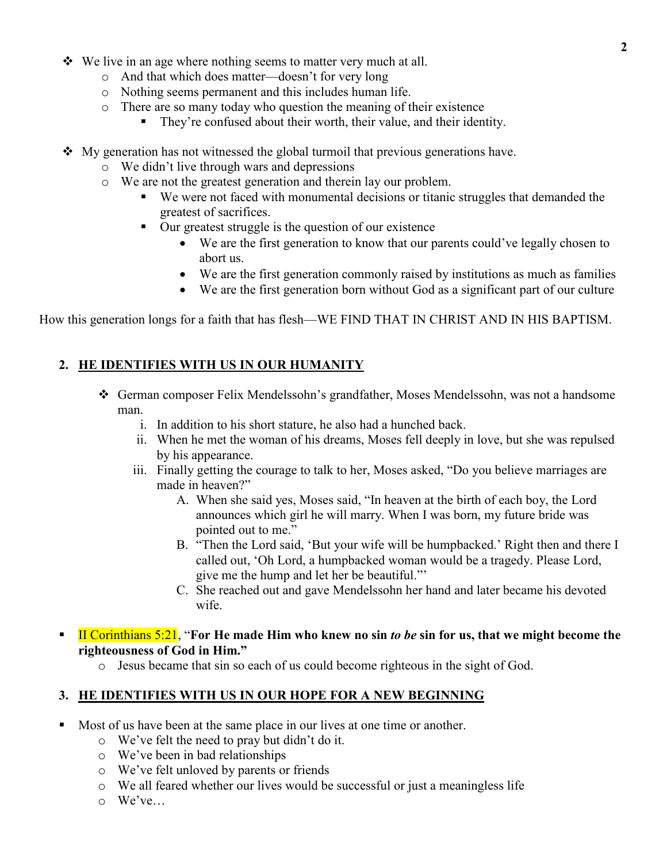- $\bullet\bullet\text{ We live in an age where nothing seems to matter very much at all.}$ 
	- o And that which does matter—doesn't for very long
	- o Nothing seems permanent and this includes human life.
	- o There are so many today who question the meaning of their existence
		- They're confused about their worth, their value, and their identity.
- $\bullet$  My generation has not witnessed the global turmoil that previous generations have.
	- o We didn't live through wars and depressions
	- o We are not the greatest generation and therein lay our problem.
		- We were not faced with monumental decisions or titanic struggles that demanded the greatest of sacrifices.
		- Our greatest struggle is the question of our existence
			- We are the first generation to know that our parents could've legally chosen to abort us.
			- We are the first generation commonly raised by institutions as much as families
			- We are the first generation born without God as a significant part of our culture

How this generation longs for a faith that has flesh—WE FIND THAT IN CHRIST AND IN HIS BAPTISM.

# **2. HE IDENTIFIES WITH US IN OUR HUMANITY**

- German composer Felix Mendelssohn's grandfather, Moses Mendelssohn, was not a handsome man.
	- i. In addition to his short stature, he also had a hunched back.
	- ii. When he met the woman of his dreams, Moses fell deeply in love, but she was repulsed by his appearance.
	- iii. Finally getting the courage to talk to her, Moses asked, "Do you believe marriages are made in heaven?"
		- A. When she said yes, Moses said, "In heaven at the birth of each boy, the Lord announces which girl he will marry. When I was born, my future bride was pointed out to me."
		- B. "Then the Lord said, 'But your wife will be humpbacked.' Right then and there I called out, 'Oh Lord, a humpbacked woman would be a tragedy. Please Lord, give me the hump and let her be beautiful."'
		- C. She reached out and gave Mendelssohn her hand and later became his devoted wife.
- - II Corinthians 5:21, "**For He made Him who knew no sin** *to be* **sin for us, that we might become the righteousness of God in Him."**
	- o Jesus became that sin so each of us could become righteous in the sight of God.

## **3. HE IDENTIFIES WITH US IN OUR HOPE FOR A NEW BEGINNING**

- - Most of us have been at the same place in our lives at one time or another.
	- o We've felt the need to pray but didn't do it.
	- o We've been in bad relationships
	- o We've felt unloved by parents or friends
	- o We all feared whether our lives would be successful or just a meaningless life
	- $\circ$  We've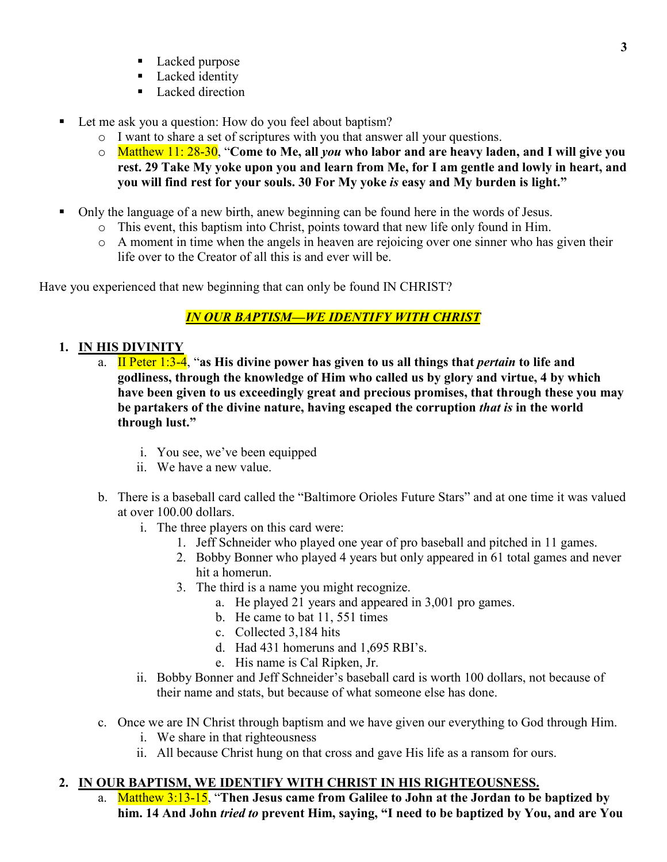- **Lacked purpose**
- **Lacked** identity
- **Lacked direction**
- - Let me ask you a question: How do you feel about baptism?
	- o I want to share a set of scriptures with you that answer all your questions.
	- o Matthew 11: 28-30, "**Come to Me, all** *you* **who labor and are heavy laden, and I will give you rest. 29 Take My yoke upon you and learn from Me, for I am gentle and lowly in heart, and you will find rest for your souls. 30 For My yoke** *is* **easy and My burden is light."**
- - Only the language of a new birth, anew beginning can be found here in the words of Jesus.
	- o This event, this baptism into Christ, points toward that new life only found in Him.
	- o A moment in time when the angels in heaven are rejoicing over one sinner who has given their life over to the Creator of all this is and ever will be.

Have you experienced that new beginning that can only be found IN CHRIST?

# *IN OUR BAPTISM—WE IDENTIFY WITH CHRIST*

- **1. IN HIS DIVINITY**
	- a. II Peter 1:3-4, "**as His divine power has given to us all things that** *pertain* **to life and godliness, through the knowledge of Him who called us by glory and virtue, 4 by which have been given to us exceedingly great and precious promises, that through these you may be partakers of the divine nature, having escaped the corruption** *that is* **in the world through lust."**
		- i. You see, we've been equipped
		- ii. We have a new value.
	- b. There is a baseball card called the "Baltimore Orioles Future Stars" and at one time it was valued at over 100.00 dollars.
		- i. The three players on this card were:
			- 1. Jeff Schneider who played one year of pro baseball and pitched in 11 games.
			- 2. Bobby Bonner who played 4 years but only appeared in 61 total games and never hit a homerun.
			- 3. The third is a name you might recognize.
				- a. He played 21 years and appeared in 3,001 pro games.
				- b. He came to bat 11, 551 times
				- c. Collected 3,184 hits
				- d. Had 431 homeruns and 1,695 RBI's.
				- e. His name is Cal Ripken, Jr.
		- ii. Bobby Bonner and Jeff Schneider's baseball card is worth 100 dollars, not because of their name and stats, but because of what someone else has done.
	- c. Once we are IN Christ through baptism and we have given our everything to God through Him.
		- i. We share in that righteousness
		- ii. All because Christ hung on that cross and gave His life as a ransom for ours.

# **2. IN OUR BAPTISM, WE IDENTIFY WITH CHRIST IN HIS RIGHTEOUSNESS.**

a. Matthew 3:13-15, "**Then Jesus came from Galilee to John at the Jordan to be baptized by him. 14 And John** *tried to* **prevent Him, saying, "I need to be baptized by You, and are You**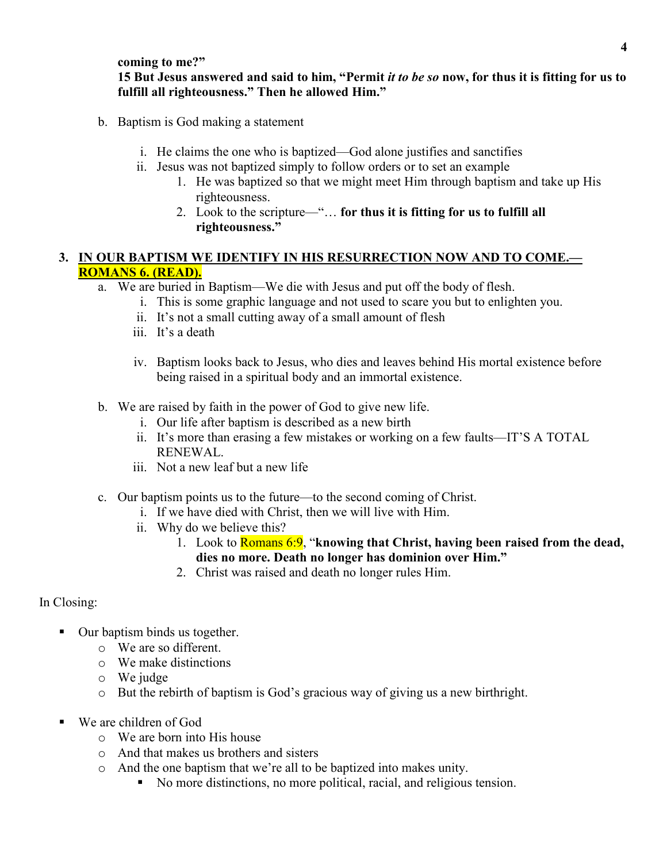#### **coming to me?"**

### **15 But Jesus answered and said to him, "Permit** *it to be so* **now, for thus it is fitting for us to fulfill all righteousness." Then he allowed Him."**

- b. Baptism is God making a statement
	- i. He claims the one who is baptized—God alone justifies and sanctifies
	- ii. Jesus was not baptized simply to follow orders or to set an example
		- 1. He was baptized so that we might meet Him through baptism and take up His righteousness.
		- 2. Look to the scripture—"… **for thus it is fitting for us to fulfill all righteousness."**

# **3. IN OUR BAPTISM WE IDENTIFY IN HIS RESURRECTION NOW AND TO COME.— ROMANS 6. (READ).**

- a. We are buried in Baptism—We die with Jesus and put off the body of flesh.
	- i. This is some graphic language and not used to scare you but to enlighten you.
	- ii. It's not a small cutting away of a small amount of flesh
	- iii. It's a death
	- iv. Baptism looks back to Jesus, who dies and leaves behind His mortal existence before being raised in a spiritual body and an immortal existence.
- b. We are raised by faith in the power of God to give new life.
	- i. Our life after baptism is described as a new birth
	- ii. It's more than erasing a few mistakes or working on a few faults—IT'S A TOTAL RENEWAL.
	- iii. Not a new leaf but a new life
- c. Our baptism points us to the future—to the second coming of Christ.
	- i. If we have died with Christ, then we will live with Him.
	- ii. Why do we believe this?
		- 1. Look to Romans 6:9, "**knowing that Christ, having been raised from the dead, dies no more. Death no longer has dominion over Him."**
		- 2. Christ was raised and death no longer rules Him.

## In Closing:

- Our baptism binds us together.
	- o We are so different.
	- o We make distinctions
	- o We judge
	- o But the rebirth of baptism is God's gracious way of giving us a new birthright.
- - We are children of God
	- o We are born into His house
	- o And that makes us brothers and sisters
	- o And the one baptism that we're all to be baptized into makes unity.
		- No more distinctions, no more political, racial, and religious tension.